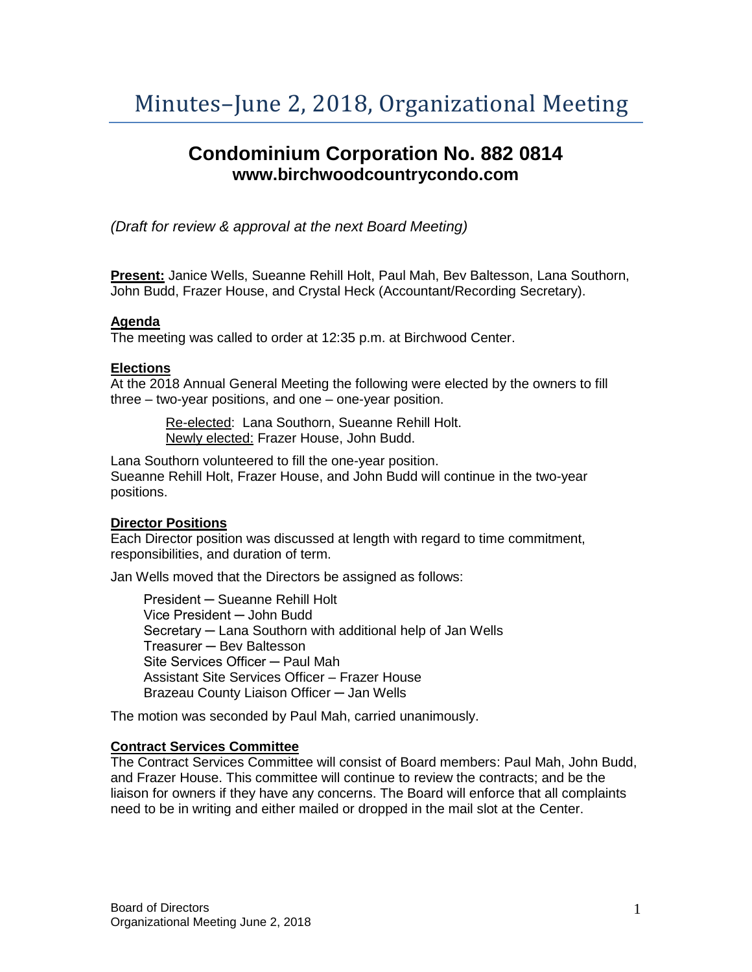# Minutes–June 2, 2018, Organizational Meeting

# **Condominium Corporation No. 882 0814 www.birchwoodcountrycondo.com**

*(Draft for review & approval at the next Board Meeting)*

**Present:** Janice Wells, Sueanne Rehill Holt, Paul Mah, Bev Baltesson, Lana Southorn, John Budd, Frazer House, and Crystal Heck (Accountant/Recording Secretary).

#### **Agenda**

The meeting was called to order at 12:35 p.m. at Birchwood Center.

#### **Elections**

At the 2018 Annual General Meeting the following were elected by the owners to fill three – two-year positions, and one – one-year position.

> Re-elected: Lana Southorn, Sueanne Rehill Holt. Newly elected: Frazer House, John Budd.

Lana Southorn volunteered to fill the one-year position. Sueanne Rehill Holt, Frazer House, and John Budd will continue in the two-year positions.

#### **Director Positions**

Each Director position was discussed at length with regard to time commitment, responsibilities, and duration of term.

Jan Wells moved that the Directors be assigned as follows:

President ─ Sueanne Rehill Holt Vice President ─ John Budd Secretary ─ Lana Southorn with additional help of Jan Wells Treasurer ─ Bev Baltesson Site Services Officer — Paul Mah Assistant Site Services Officer – Frazer House Brazeau County Liaison Officer ─ Jan Wells

The motion was seconded by Paul Mah, carried unanimously.

#### **Contract Services Committee**

The Contract Services Committee will consist of Board members: Paul Mah, John Budd, and Frazer House. This committee will continue to review the contracts; and be the liaison for owners if they have any concerns. The Board will enforce that all complaints need to be in writing and either mailed or dropped in the mail slot at the Center.